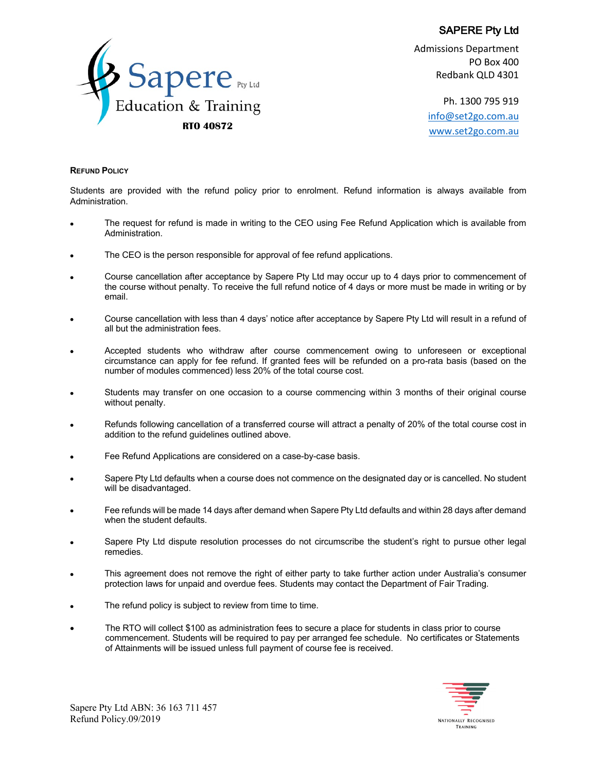

Admissions Department PO Box 400 Redbank QLD 4301

Ph. 1300 795 919 info@set2go.com.au www.set2go.com.au **RTO 40872**

## **REFUND POLICY**

Students are provided with the refund policy prior to enrolment. Refund information is always available from Administration.

- The request for refund is made in writing to the CEO using Fee Refund Application which is available from Administration.
- The CEO is the person responsible for approval of fee refund applications.
- Course cancellation after acceptance by Sapere Pty Ltd may occur up to 4 days prior to commencement of the course without penalty. To receive the full refund notice of 4 days or more must be made in writing or by email.
- Course cancellation with less than 4 days' notice after acceptance by Sapere Pty Ltd will result in a refund of all but the administration fees.
- Accepted students who withdraw after course commencement owing to unforeseen or exceptional circumstance can apply for fee refund. If granted fees will be refunded on a pro-rata basis (based on the number of modules commenced) less 20% of the total course cost.
- Students may transfer on one occasion to a course commencing within 3 months of their original course without penalty.
- Refunds following cancellation of a transferred course will attract a penalty of 20% of the total course cost in addition to the refund guidelines outlined above.
- Fee Refund Applications are considered on a case-by-case basis.
- Sapere Pty Ltd defaults when a course does not commence on the designated day or is cancelled. No student will be disadvantaged.
- Fee refunds will be made 14 days after demand when Sapere Pty Ltd defaults and within 28 days after demand when the student defaults.
- Sapere Pty Ltd dispute resolution processes do not circumscribe the student's right to pursue other legal remedies.
- This agreement does not remove the right of either party to take further action under Australia's consumer protection laws for unpaid and overdue fees. Students may contact the Department of Fair Trading.
- The refund policy is subject to review from time to time.
- The RTO will collect \$100 as administration fees to secure a place for students in class prior to course commencement. Students will be required to pay per arranged fee schedule. No certificates or Statements of Attainments will be issued unless full payment of course fee is received.



Sapere Pty Ltd ABN: 36 163 711 457 Refund Policy.09/2019